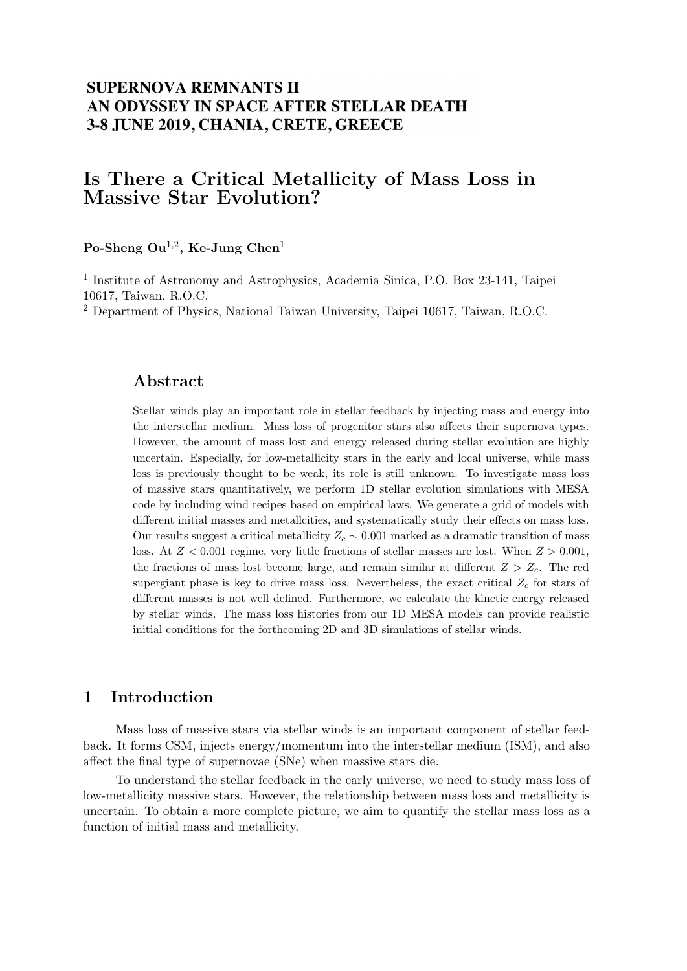## **SUPERNOVA REMNANTS II** AN ODYSSEY IN SPACE AFTER STELLAR DEATH 3-8 JUNE 2019, CHANIA, CRETE, GREECE

# Is There a Critical Metallicity of Mass Loss in Massive Star Evolution?

#### $\rm \bf{Po}\textrm{-} \bf{Sheng} \ \bf{O} u^{1,2}, \ \rm \bf{Ke\textrm{-} \bf {Jung} \ \bf{Chen}^1$

<sup>1</sup> Institute of Astronomy and Astrophysics, Academia Sinica, P.O. Box 23-141, Taipei 10617, Taiwan, R.O.C.

<sup>2</sup> Department of Physics, National Taiwan University, Taipei 10617, Taiwan, R.O.C.

#### Abstract

Stellar winds play an important role in stellar feedback by injecting mass and energy into the interstellar medium. Mass loss of progenitor stars also affects their supernova types. However, the amount of mass lost and energy released during stellar evolution are highly uncertain. Especially, for low-metallicity stars in the early and local universe, while mass loss is previously thought to be weak, its role is still unknown. To investigate mass loss of massive stars quantitatively, we perform 1D stellar evolution simulations with MESA code by including wind recipes based on empirical laws. We generate a grid of models with different initial masses and metallcities, and systematically study their effects on mass loss. Our results suggest a critical metallicity  $Z_c \sim 0.001$  marked as a dramatic transition of mass loss. At  $Z < 0.001$  regime, very little fractions of stellar masses are lost. When  $Z > 0.001$ , the fractions of mass lost become large, and remain similar at different  $Z > Z_c$ . The red supergiant phase is key to drive mass loss. Nevertheless, the exact critical  $Z_c$  for stars of different masses is not well defined. Furthermore, we calculate the kinetic energy released by stellar winds. The mass loss histories from our 1D MESA models can provide realistic initial conditions for the forthcoming 2D and 3D simulations of stellar winds.

#### 1 Introduction

Mass loss of massive stars via stellar winds is an important component of stellar feedback. It forms CSM, injects energy/momentum into the interstellar medium (ISM), and also affect the final type of supernovae (SNe) when massive stars die.

To understand the stellar feedback in the early universe, we need to study mass loss of low-metallicity massive stars. However, the relationship between mass loss and metallicity is uncertain. To obtain a more complete picture, we aim to quantify the stellar mass loss as a function of initial mass and metallicity.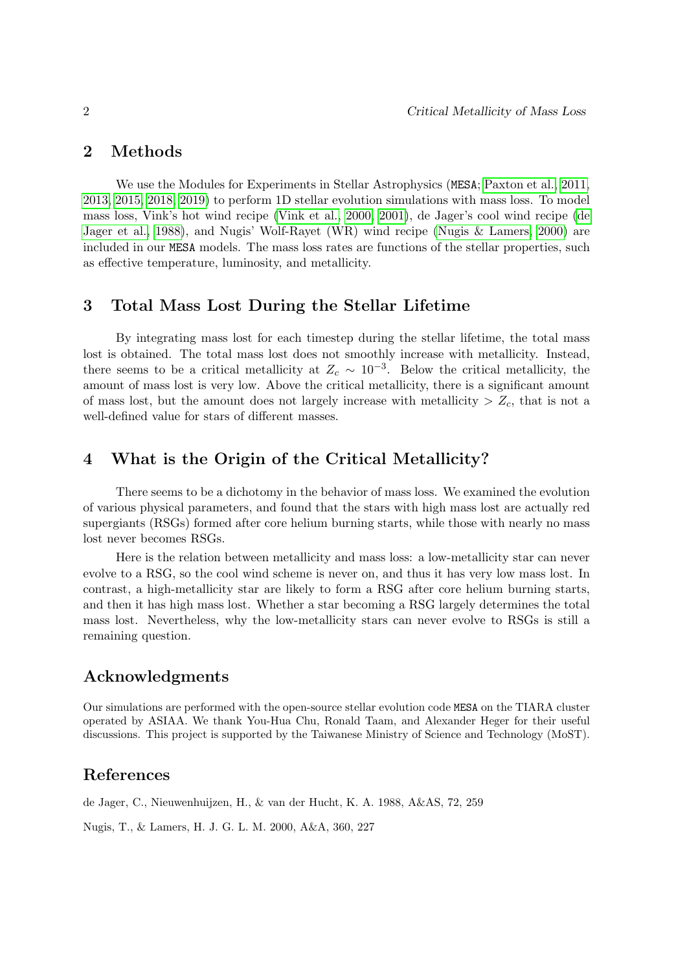#### 2 Methods

We use the Modules for Experiments in Stellar Astrophysics (MESA; [Paxton et al., 2011,](#page-2-0) [2013,](#page-2-1) [2015,](#page-2-2) [2018,](#page-2-3) [2019\)](#page-2-4) to perform 1D stellar evolution simulations with mass loss. To model mass loss, Vink's hot wind recipe [\(Vink et al., 2000,](#page-2-5) [2001\)](#page-2-6), de Jager's cool wind recipe [\(de](#page-1-0) [Jager et al., 1988\)](#page-1-0), and Nugis' Wolf-Rayet (WR) wind recipe [\(Nugis & Lamers, 2000\)](#page-1-1) are included in our MESA models. The mass loss rates are functions of the stellar properties, such as effective temperature, luminosity, and metallicity.

## 3 Total Mass Lost During the Stellar Lifetime

By integrating mass lost for each timestep during the stellar lifetime, the total mass lost is obtained. The total mass lost does not smoothly increase with metallicity. Instead, there seems to be a critical metallicity at  $Z_c \sim 10^{-3}$ . Below the critical metallicity, the amount of mass lost is very low. Above the critical metallicity, there is a significant amount of mass lost, but the amount does not largely increase with metallicity  $> Z_c$ , that is not a well-defined value for stars of different masses.

## 4 What is the Origin of the Critical Metallicity?

There seems to be a dichotomy in the behavior of mass loss. We examined the evolution of various physical parameters, and found that the stars with high mass lost are actually red supergiants (RSGs) formed after core helium burning starts, while those with nearly no mass lost never becomes RSGs.

Here is the relation between metallicity and mass loss: a low-metallicity star can never evolve to a RSG, so the cool wind scheme is never on, and thus it has very low mass lost. In contrast, a high-metallicity star are likely to form a RSG after core helium burning starts, and then it has high mass lost. Whether a star becoming a RSG largely determines the total mass lost. Nevertheless, why the low-metallicity stars can never evolve to RSGs is still a remaining question.

## Acknowledgments

Our simulations are performed with the open-source stellar evolution code MESA on the TIARA cluster operated by ASIAA. We thank You-Hua Chu, Ronald Taam, and Alexander Heger for their useful discussions. This project is supported by the Taiwanese Ministry of Science and Technology (MoST).

## References

<span id="page-1-0"></span>de Jager, C., Nieuwenhuijzen, H., & van der Hucht, K. A. 1988, A&AS, 72, 259

<span id="page-1-1"></span>Nugis, T., & Lamers, H. J. G. L. M. 2000, A&A, 360, 227